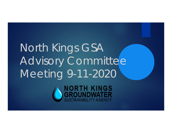# North Kings GSA Advisory Committee Meeting 9-11-2020

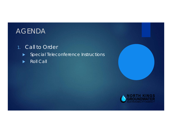### AGENDA

#### 1. Call to Order

- **Special Teleconference Instructions**
- Roll Call



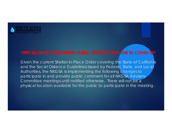

#### **\*SPECIAL NOTICE REGARDING PUBLIC PARTICIPATION DUE TO COVID-19\***

Given the current Shelter-in-Place Order covering the State of California and the Social Distance Guidelines issued by Federal, State, and Local Authorities, the NKGSA is implementing the following changes to participate in and provide public comment for all NKGSA Advisory Committee meetings until notified otherwise. There will not be a physical location available for the public to participate in the meeting.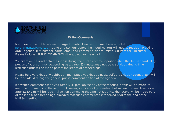

#### **Written Comments**

Members of the public are encouraged to submit written comments via email at northkingsgsa@gmail.com up to one (1) hour before the meeting. You will need to provide: Meeting date, agenda item number, name, email and comment (please limit to 300 words or 3 minutes). Please include: PUBLIC COMMENT in the subject for the email.

Your item will be read onto the record during the public comment portion when the item is heard. Any portion of your comment extending past three (3) minutes may not be read aloud due to time restrictions but will be made part of the record of proceedings.

Please be aware that any public comments received that do not specify a particular agenda item will be read aloud during the general public comment portion of the agenda.

If a written comment is received after 12:30 p.m. on the day of the meeting, efforts will be made to read the comment into the record. However, staff cannot guarantee that written comments received after 12:30 p.m. will be read. All written comments that are not read into the record will be made part of the record of proceedings, provided that such comments are received prior to the end of the NKGSA meeting.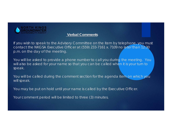

#### **Verbal Comments**

If you wish to speak to the Advisory Committee on the item by telephone, you must contact the NKGSA Executive Officer at (559) 233-7161 x. 7109 no later than 12:30 p.m. on the day of the meeting.

You will be asked to provide a phone number to call you during the meeting. You will also be asked for your name so that you can be called when it is your turn to speak.

You will be called during the comment section for the agenda item on which you will speak.

You may be put on hold until your name is called by the Executive Officer.

Your comment period will be limited to three (3) minutes.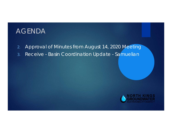### AGENDA

- 2.Approval of Minutes from August 14, 2020 Meeting
- 3.Receive - Basin Coordination Update - Samuelian

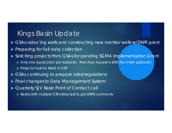#### Kings Basin Update

- $\blacktriangleright$ GSAs video'ing wells and constructing new monitor wells w/DWR grant
- **Preparing for Fall data collection**
- **Soliciting projects from GSAs for pending SGMA Implementation Grant** 
	- Only one application per subbasin. Max App request is \$5M (for entire subbasin)
	- **Projects must be listed in GSP**
- GSAs continuing to prepare rules/regulations
- Final changes to Data Management System
- ▶ Quarterly SJV Basin Point of Contact call
	- Basins with multiple GSPs likely last to get DWR comments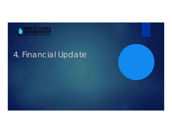

# 4. Financial Update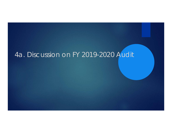## 4a. Discussion on FY 2019-2020 Audit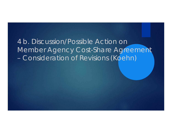4 b. Discussion/Possible Action on Member Agency Cost-Share Agreement Consideration of Revisions (Koehn)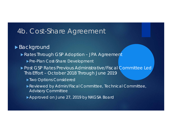#### ▶ Background

- Rates Through GSP Adoption JPA Agreement
	- **Pre-Plan Cost-Share Development**
- ▶ Post GSP Rates Previous Administrative/Fiscal Committee Led This Effort – October 2018 Through June 2019
	- Two Options Considered
	- Reviewed by Admin/Fiscal Committee, Technical Committee, Advisory Committee
	- Approved on June 27, 2019 by NKGSA Board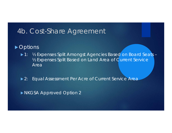#### ▶ Options

- ▶ 1: 1/2 Expenses Split Amongst Agencies Based on Board Seats -½ Expenses Split Based on Land Area of Current Service Area
- ▶ 2: Equal Assessment Per Acre of Current Service Area

NKGSA Approved Option 2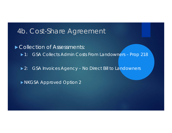Collection of Assessments: ▶ 1: GSA Collects Admin Costs From Landowners - Prop 218

▶ 2: GSA Invoices Agency – No Direct Bill to Landowners

NKGSA Approved Option 2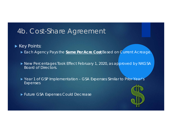#### Key Points:

- Each Agency Pays the **Same Per Acre Cost** Based on Current Acreage.
- ▶ New Percentages Took Effect February 1, 2020, as approved by NKGSA Board of Directors.
- ▶ Year 1 of GSP Implementation GSA Expenses Similar to Prior Year's Expenses
- Future GSA Expenses Could Decrease

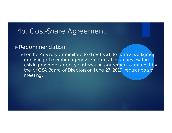#### **Recommendation:**

For the Advisory Committee to direct staff to form a workgroup consisting of member agency representatives to review the existing member agency cost-sharing agreement approved by the NKGSA Board of Directors on June 27, 2019, regular board meeting.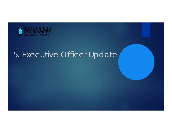

# 5. Executive Officer Update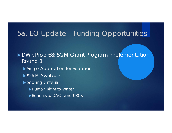### 5a. EO Update – Funding Opportunities

▶ DWR Prop 68: SGM Grant Program Implementation -Round 1

- Single Application for Subbasin
- ▶ \$26 M Available
- Scoring Criteria
	- Human Right to Water
	- ▶ Benefits to DACs and URCs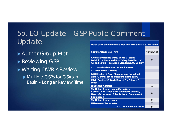### 5b. EO Update – GSP Public Comment Update

 Author Group Met **Reviewing GSP** Waiting DWR's Review Multiple GSPs for GSAs in Basin – Longer Review Time

| List of GSP Comment Letters received through DWR SGMA Portal                                                                                                      |             |
|-------------------------------------------------------------------------------------------------------------------------------------------------------------------|-------------|
|                                                                                                                                                                   |             |
| <b>Comment Received From</b>                                                                                                                                      | North Kings |
| Alyssa DeVincentis, Darcy Bostic & Jessica<br>Rudnick, UC Davis and Ruth Dahlquist-Willard UC<br>Ag and Natural Resources, Ellen Bruno, UC Berkley                | X           |
| <b>CA Central Valley Flood Protection Board</b>                                                                                                                   | X           |
| <b>CA Dept of Fish &amp; Wildlife</b>                                                                                                                             | X           |
| <b>DWR Division of Flood Management (submitted</b><br>under Central, but addressed to entire basin)                                                               | X           |
| Kristin Dobbin, UC Davis Dept of Env Science &<br><b>Policy</b>                                                                                                   | X           |
| <b>Leadership Counsel</b>                                                                                                                                         | X           |
| The Nature Conservancy, Clean Water<br>Action/Clean Water Fund, Audubon California,<br><b>Union of Concerned Scientist, Local Government</b><br><b>Commission</b> | X           |
| <b>The Nature Conservancy</b>                                                                                                                                     | X           |
| <b>US Bureau of Reclamation</b>                                                                                                                                   | X           |
| <b>Total Comments Received</b>                                                                                                                                    | 9           |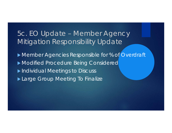### 5c. EO Update – Member Agency Mitigation Responsibility Update

Member Agencies Responsible for % of Overdraft Modified Procedure Being Considered **Individual Meetings to Discuss** Large Group Meeting To Finalize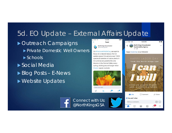### 5d. EO Update – External Affairs Update

▶ Outreach Campaigns **Private Domestic Well Owners** ▶ Schools ▶ Social Media ▶ Blog Posts – E-News ▶ Website Updates



focus on a natural beauty, the CA golden poppy! It is among over 7,000 species & varieties of native plants in CA, and we are grateful this one blooms in the Central Valley every spring, sticking around longer when #water supply is ample



 $\mathbb{R}^{\mathbf{0}}$ 

Tweet your reply £Φ  $\circ$  $\alpha$ 

from the North Kings GSA Celebrate your hard work past, present, and future. **D** Like C Comment  $\phi$  Share You and 1 other Write a comment...  $(GIF)$   $(G)$ 

Œ

Ξ

12:43 PM

**North Kings Groundwater** 

**Sustainability Agency** 

 $4d \cdot \Theta$ 

Happy #LaborDay to our followers!

 $\bullet$ 

...

I AT&T LTE

Connect with Us: @NorthKingsGSA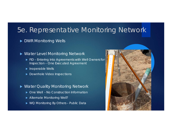### 5e. Representative Monitoring Network

#### ▶ DWR Monitoring Wells

#### ▶ Water Level Monitoring Network

- **FID Entering Into Agreements with Well Owners for Access and Video Video Access** Inspection – One Executed Agreement
- **Inoperable Wells**
- ▶ Downhole Video Inspections

#### ▶ Water Quality Monitoring Network

- ▶ One Well No Construction Information
- Alternate Monitoring Well?
- ▶ WQ Monitoring By Others Public Data

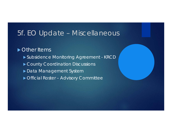#### 5f. EO Update – Miscellaneous

Other Items

- Subsidence Monitoring Agreement KRCD
- County Coordination Discussions
- Data Management System
- **Difficial Roster Advisory Committee**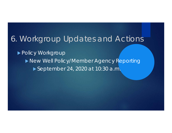### 6. Workgroup Updates and Actions

▶ Policy Workgroup New Well Policy/Member Agency Reporting ▶ September 24, 2020 at 10:30 a.m.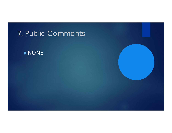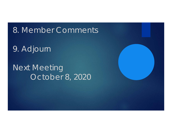8. Member Comments

9. Adjourn

Next Meeting October 8, 2020